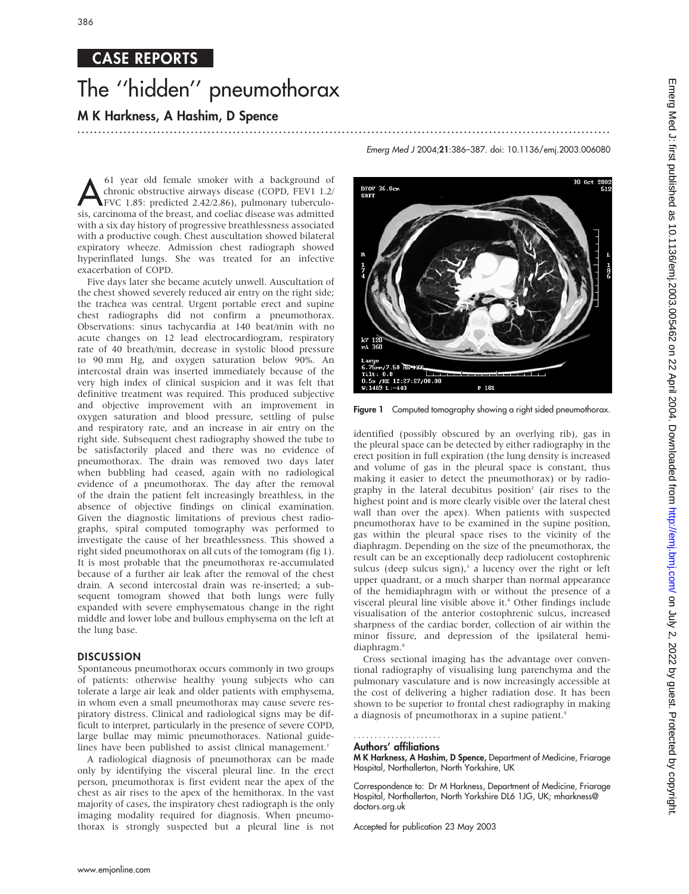## CASE REPORTS

# The ''hidden'' pneumothorax

.............................................................................................................................. .

### M K Harkness, A Hashim, D Spence

 $\sum_{\text{FVC}}$  61 year old female smoker with a background of chronic obstructive airways disease (COPD, FEV1 1.2) chronic obstructive airways disease (COPD, FEV1 1.2/ FVC 1.85: predicted 2.42/2.86), pulmonary tuberculosis, carcinoma of the breast, and coeliac disease was admitted with a six day history of progressive breathlessness associated with a productive cough. Chest auscultation showed bilateral expiratory wheeze. Admission chest radiograph showed hyperinflated lungs. She was treated for an infective exacerbation of COPD.

Five days later she became acutely unwell. Auscultation of the chest showed severely reduced air entry on the right side; the trachea was central. Urgent portable erect and supine chest radiographs did not confirm a pneumothorax. Observations: sinus tachycardia at 140 beat/min with no acute changes on 12 lead electrocardiogram, respiratory rate of 40 breath/min, decrease in systolic blood pressure to 90 mm Hg, and oxygen saturation below 90%. An intercostal drain was inserted immediately because of the very high index of clinical suspicion and it was felt that definitive treatment was required. This produced subjective and objective improvement with an improvement in oxygen saturation and blood pressure, settling of pulse and respiratory rate, and an increase in air entry on the right side. Subsequent chest radiography showed the tube to be satisfactorily placed and there was no evidence of pneumothorax. The drain was removed two days later when bubbling had ceased, again with no radiological evidence of a pneumothorax. The day after the removal of the drain the patient felt increasingly breathless, in the absence of objective findings on clinical examination. Given the diagnostic limitations of previous chest radiographs, spiral computed tomography was performed to investigate the cause of her breathlessness. This showed a right sided pneumothorax on all cuts of the tomogram (fig 1). It is most probable that the pneumothorax re-accumulated because of a further air leak after the removal of the chest drain. A second intercostal drain was re-inserted; a subsequent tomogram showed that both lungs were fully expanded with severe emphysematous change in the right middle and lower lobe and bullous emphysema on the left at the lung base.

#### **DISCUSSION**

Spontaneous pneumothorax occurs commonly in two groups of patients: otherwise healthy young subjects who can tolerate a large air leak and older patients with emphysema, in whom even a small pneumothorax may cause severe respiratory distress. Clinical and radiological signs may be difficult to interpret, particularly in the presence of severe COPD, large bullae may mimic pneumothoraces. National guidelines have been published to assist clinical management.<sup>1</sup>

A radiological diagnosis of pneumothorax can be made only by identifying the visceral pleural line. In the erect person, pneumothorax is first evident near the apex of the chest as air rises to the apex of the hemithorax. In the vast majority of cases, the inspiratory chest radiograph is the only imaging modality required for diagnosis. When pneumothorax is strongly suspected but a pleural line is not Emerg Med J 2004;21:386–387. doi: 10.1136/emj.2003.006080



Figure 1 Computed tomography showing a right sided pneumothorax.

identified (possibly obscured by an overlying rib), gas in the pleural space can be detected by either radiography in the erect position in full expiration (the lung density is increased and volume of gas in the pleural space is constant, thus making it easier to detect the pneumothorax) or by radiography in the lateral decubitus position<sup>2</sup> (air rises to the highest point and is more clearly visible over the lateral chest wall than over the apex). When patients with suspected pneumothorax have to be examined in the supine position, gas within the pleural space rises to the vicinity of the diaphragm. Depending on the size of the pneumothorax, the result can be an exceptionally deep radiolucent costophrenic sulcus (deep sulcus sign), $3$  a lucency over the right or left upper quadrant, or a much sharper than normal appearance of the hemidiaphragm with or without the presence of a visceral pleural line visible above it.4 Other findings include visualisation of the anterior costophrenic sulcus, increased sharpness of the cardiac border, collection of air within the minor fissure, and depression of the ipsilateral hemidiaphragm.4

Cross sectional imaging has the advantage over conventional radiography of visualising lung parenchyma and the pulmonary vasculature and is now increasingly accessible at the cost of delivering a higher radiation dose. It has been shown to be superior to frontal chest radiography in making a diagnosis of pneumothorax in a supine patient.<sup>5</sup>

#### Authors' affiliations .....................

M K Harkness, A Hashim, D Spence, Department of Medicine, Friarage Hospital, Northallerton, North Yorkshire, UK

Correspondence to: Dr M Harkness, Department of Medicine, Friarage Hospital, Northallerton, North Yorkshire DL6 1JG, UK; mharkness@ doctors.org.uk

Accepted for publication 23 May 2003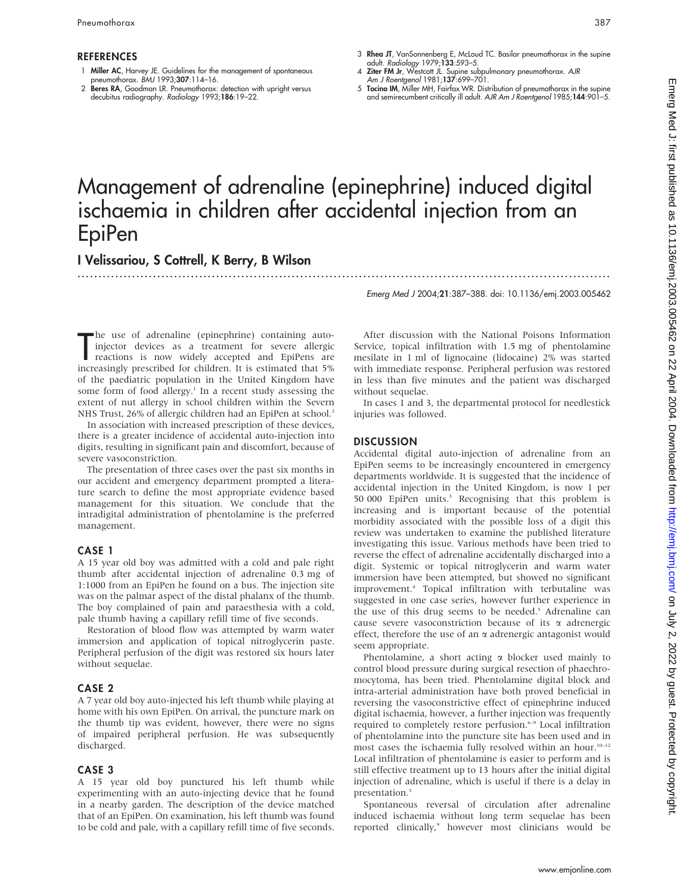#### **REFERENCES**

- 1 Miller AC, Harvey JE. Guidelines for the management of spontaneous pneumothorax. BMJ 1993;307:114-16.
- 2 Beres RA, Goodman LR. Pneumothorax: detection with upright versus decubitus radiography. Radiology 1993;186:19–22.
- 3 **Rhea JT**, VanSonnenberg E, McLoud TC, Basilar pneumothorax in the supine adult. Radiology 1979;133:593–5.
- 4 Ziter FM Jr, Westcott JL. Supine subpulmonary pneumothorax. AJR Am J Roentgenol 1981;137:699–701.
- 5 Tocino IM, Miller MH, Fairfax WR. Distribution of pneumothorax in the supine and semirecumbent critically ill adult. AJR Am J Roentgenol 1985;144:901-5.

# Management of adrenaline (epinephrine) induced digital ischaemia in children after accidental injection from an **EpiPen**

.............................................................................................................................. .

## I Velissariou, S Cottrell, K Berry, B Wilson

Emerg Med J 2004;21:387–388. doi: 10.1136/emj.2003.005462

The use of adrenaline (epinephrine) containing auto-<br>injector devices as a treatment for severe allergic<br>reactions is now widely accepted and EpiPens are<br>increasingly prescribed for children. It is estimated that 5% he use of adrenaline (epinephrine) containing autoinjector devices as a treatment for severe allergic reactions is now widely accepted and EpiPens are of the paediatric population in the United Kingdom have some form of food allergy.<sup>1</sup> In a recent study assessing the extent of nut allergy in school children within the Severn NHS Trust, 26% of allergic children had an EpiPen at school.<sup>2</sup>

In association with increased prescription of these devices, there is a greater incidence of accidental auto-injection into digits, resulting in significant pain and discomfort, because of severe vasoconstriction.

The presentation of three cases over the past six months in our accident and emergency department prompted a literature search to define the most appropriate evidence based management for this situation. We conclude that the intradigital administration of phentolamine is the preferred management.

#### CASE 1

A 15 year old boy was admitted with a cold and pale right thumb after accidental injection of adrenaline 0.3 mg of 1:1000 from an EpiPen he found on a bus. The injection site was on the palmar aspect of the distal phalanx of the thumb. The boy complained of pain and paraesthesia with a cold, pale thumb having a capillary refill time of five seconds.

Restoration of blood flow was attempted by warm water immersion and application of topical nitroglycerin paste. Peripheral perfusion of the digit was restored six hours later without sequelae.

#### CASE 2

A 7 year old boy auto-injected his left thumb while playing at home with his own EpiPen. On arrival, the puncture mark on the thumb tip was evident, however, there were no signs of impaired peripheral perfusion. He was subsequently discharged.

#### CASE 3

A 15 year old boy punctured his left thumb while experimenting with an auto-injecting device that he found in a nearby garden. The description of the device matched that of an EpiPen. On examination, his left thumb was found to be cold and pale, with a capillary refill time of five seconds.

After discussion with the National Poisons Information Service, topical infiltration with 1.5 mg of phentolamine mesilate in 1 ml of lignocaine (lidocaine) 2% was started with immediate response. Peripheral perfusion was restored in less than five minutes and the patient was discharged without sequelae.

In cases 1 and 3, the departmental protocol for needlestick injuries was followed.

#### **DISCUSSION**

Accidental digital auto-injection of adrenaline from an EpiPen seems to be increasingly encountered in emergency departments worldwide. It is suggested that the incidence of accidental injection in the United Kingdom, is now 1 per 50 000 EpiPen units.<sup>3</sup> Recognising that this problem is increasing and is important because of the potential morbidity associated with the possible loss of a digit this review was undertaken to examine the published literature investigating this issue. Various methods have been tried to reverse the effect of adrenaline accidentally discharged into a digit. Systemic or topical nitroglycerin and warm water immersion have been attempted, but showed no significant improvement.4 Topical infiltration with terbutaline was suggested in one case series, however further experience in the use of this drug seems to be needed.<sup>5</sup> Adrenaline can cause severe vasoconstriction because of its  $\alpha$  adrenergic effect, therefore the use of an  $\alpha$  adrenergic antagonist would seem appropriate.

Phentolamine, a short acting  $\alpha$  blocker used mainly to control blood pressure during surgical resection of phaechromocytoma, has been tried. Phentolamine digital block and intra-arterial administration have both proved beneficial in reversing the vasoconstrictive effect of epinephrine induced digital ischaemia, however, a further injection was frequently required to completely restore perfusion.<sup>6-9</sup> Local infiltration of phentolamine into the puncture site has been used and in most cases the ischaemia fully resolved within an hour.<sup>10-12</sup> Local infiltration of phentolamine is easier to perform and is still effective treatment up to 13 hours after the initial digital injection of adrenaline, which is useful if there is a delay in presentation.<sup>3</sup>

Spontaneous reversal of circulation after adrenaline induced ischaemia without long term sequelae has been reported clinically,<sup>9</sup> however most clinicians would be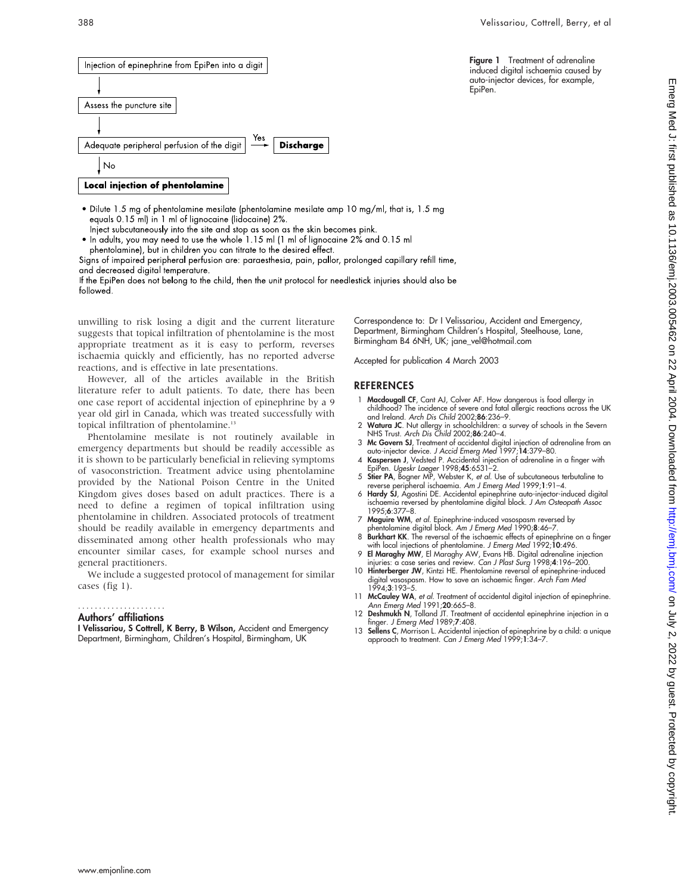Figure 1 Treatment of adrenaline induced digital ischaemia caused by auto-injector devices, for example,

EpiPen.



- Dilute 1.5 mg of phentolamine mesilate (phentolamine mesilate amp 10 mg/ml, that is, 1.5 mg equals 0.15 ml) in 1 ml of lignocaine (lidocaine) 2%.
- Inject subcutaneously into the site and stop as soon as the skin becomes pink.
- . In adults, you may need to use the whole 1.15 ml (1 ml of lignocaine 2% and 0.15 ml phentolamine), but in children you can titrate to the desired effect.

Signs of impaired peripheral perfusion are: paraesthesia, pain, pallor, prolonged capillary refill time, and decreased digital temperature.

If the EpiPen does not belong to the child, then the unit protocol for needlestick injuries should also be followed.

unwilling to risk losing a digit and the current literature suggests that topical infiltration of phentolamine is the most appropriate treatment as it is easy to perform, reverses ischaemia quickly and efficiently, has no reported adverse reactions, and is effective in late presentations.

However, all of the articles available in the British literature refer to adult patients. To date, there has been one case report of accidental injection of epinephrine by a 9 year old girl in Canada, which was treated successfully with topical infiltration of phentolamine.<sup>13</sup>

Phentolamine mesilate is not routinely available in emergency departments but should be readily accessible as it is shown to be particularly beneficial in relieving symptoms of vasoconstriction. Treatment advice using phentolamine provided by the National Poison Centre in the United Kingdom gives doses based on adult practices. There is a need to define a regimen of topical infiltration using phentolamine in children. Associated protocols of treatment should be readily available in emergency departments and disseminated among other health professionals who may encounter similar cases, for example school nurses and general practitioners.

We include a suggested protocol of management for similar cases (fig 1).

#### Authors' affiliations .....................

I Velissariou, S Cottrell, K Berry, B Wilson, Accident and Emergency Department, Birmingham, Children's Hospital, Birmingham, UK

Correspondence to: Dr I Velissariou, Accident and Emergency, Department, Birmingham Children's Hospital, Steelhouse, Lane, Birmingham B4 6NH, UK; jane\_vel@hotmail.com

Accepted for publication 4 March 2003

- Macdougall CF, Cant AJ, Colver AF. How dangerous is food allergy in childhood? The incidence of severe and fatal allergic reactions across the UK and Ireland. Arch Dis Child 2002;86:236–9.
- 2 Watura JC. Nut allergy in schoolchildren: a survey of schools in the Severn NHS Trust. Arch Dis Child 2002;86:240–4.
- 3 Mc Govern SJ, Treatment of accidental digital injection of adrenaline from an auto-injector device. J Accid Emerg Med 1997;14:379–80.<br>4 Naspersen J, Vedsted P. Accidental injection of adrenaline in a finger with<br>EpiPen.
- 
- 5 Stier PA, Bogner MP, Webster K, et al. Use of subcutaneous terbutaline to
- reverse peripheral ischaemia. Am J Emerg Med 1999;1:91–4. 6 Hardy SJ, Agostini DE. Accidental epinephrine auto-injector-induced digital ischaemia reversed by phentolamine digital block. J Am Osteopath Assoc 1995;6:377–8.
- 7 Maguire WM, et al. Epinephrine-induced vasospasm reversed by phentolamine digital block. Am J Emerg Med 1990;8:46–7.
- 8 **Burkhart KK**. The reversal of the ischaemic effects of epinephrine on a finger with local injections of phentolamine. J Emerg Med 1992;10:496.
- 9 El Maraghy MW, El Maraghy AW, Evans HB. Digital adrenaline injection injuries: a case series and review. Can J Plast Surg 1998;4:196–200.
- 10 Hinterberger JW, Kintzi HE. Phentolamine reversal of epinephrine-induced digital vasospasm. How to save an ischaemic finger. *Arch Fam Mec*<br>1994;**3**:193–5.
- 11 McCauley WA, et al. Treatment of accidental digital injection of epinephrine. Ann Emerg Med 1991;20:665–8.
- 12 Deshmukh N, Tolland JT. Treatment of accidental epinephrine injection in a finger. J Emerg Med 1989;7:408.
- 13 Sellens C, Morrison L. Accidental injection of epinephrine by a child: a unique approach to treatment. Can J Emerg Med 1999;1:34–7.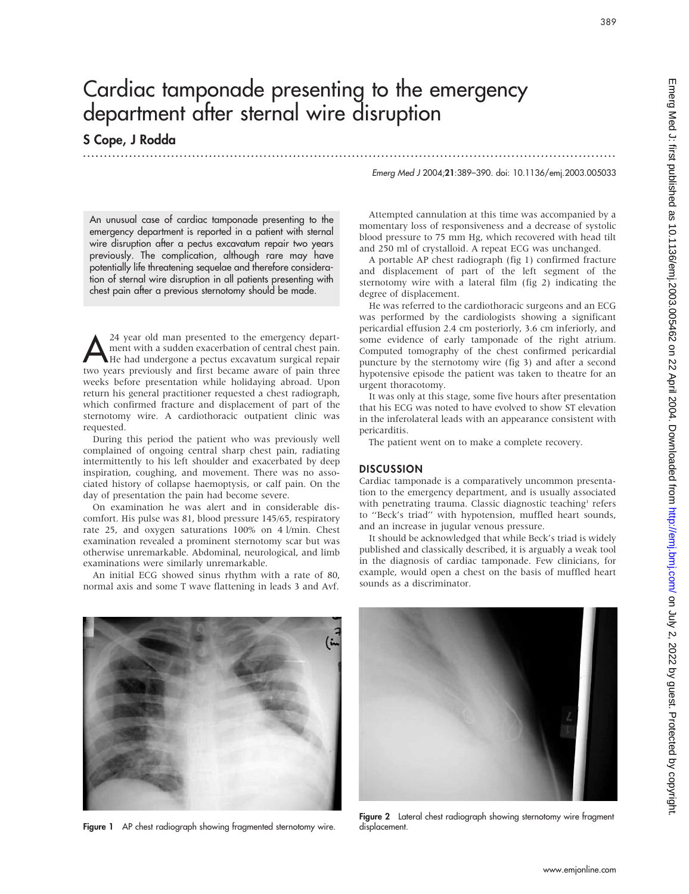# Cardiac tamponade presenting to the emergency department after sternal wire disruption

## S Cope, J Rodda

Emerg Med J 2004;21:389–390. doi: 10.1136/emj.2003.005033

.............................................................................................................................. .

389

An unusual case of cardiac tamponade presenting to the emergency department is reported in a patient with sternal wire disruption after a pectus excavatum repair two years previously. The complication, although rare may have potentially life threatening sequelae and therefore consideration of sternal wire disruption in all patients presenting with chest pain after a previous sternotomy should be made.

24 year old man presented to the emergency depart-<br>
He had undergone a pectus excavatum surgical repair<br>
two years previously and first became aware of pain three ment with a sudden exacerbation of central chest pain. two years previously and first became aware of pain three weeks before presentation while holidaying abroad. Upon return his general practitioner requested a chest radiograph, which confirmed fracture and displacement of part of the sternotomy wire. A cardiothoracic outpatient clinic was requested.

During this period the patient who was previously well complained of ongoing central sharp chest pain, radiating intermittently to his left shoulder and exacerbated by deep inspiration, coughing, and movement. There was no associated history of collapse haemoptysis, or calf pain. On the day of presentation the pain had become severe.

On examination he was alert and in considerable discomfort. His pulse was 81, blood pressure 145/65, respiratory rate 25, and oxygen saturations 100% on 4 l/min. Chest examination revealed a prominent sternotomy scar but was otherwise unremarkable. Abdominal, neurological, and limb examinations were similarly unremarkable.

An initial ECG showed sinus rhythm with a rate of 80, normal axis and some T wave flattening in leads 3 and Avf.

Attempted cannulation at this time was accompanied by a momentary loss of responsiveness and a decrease of systolic blood pressure to 75 mm Hg, which recovered with head tilt and 250 ml of crystalloid. A repeat ECG was unchanged.

A portable AP chest radiograph (fig 1) confirmed fracture and displacement of part of the left segment of the sternotomy wire with a lateral film (fig 2) indicating the degree of displacement.

He was referred to the cardiothoracic surgeons and an ECG was performed by the cardiologists showing a significant pericardial effusion 2.4 cm posteriorly, 3.6 cm inferiorly, and some evidence of early tamponade of the right atrium. Computed tomography of the chest confirmed pericardial puncture by the sternotomy wire (fig 3) and after a second hypotensive episode the patient was taken to theatre for an urgent thoracotomy.

It was only at this stage, some five hours after presentation that his ECG was noted to have evolved to show ST elevation in the inferolateral leads with an appearance consistent with pericarditis.

The patient went on to make a complete recovery.

#### **DISCUSSION**

Cardiac tamponade is a comparatively uncommon presentation to the emergency department, and is usually associated with penetrating trauma. Classic diagnostic teaching<sup>1</sup> refers to ''Beck's triad'' with hypotension, muffled heart sounds, and an increase in jugular venous pressure.

It should be acknowledged that while Beck's triad is widely published and classically described, it is arguably a weak tool in the diagnosis of cardiac tamponade. Few clinicians, for example, would open a chest on the basis of muffled heart sounds as a discriminator.



Figure 1 AP chest radiograph showing fragmented sternotomy wire.



Figure 2 Lateral chest radiograph showing sternotomy wire fragment displacement.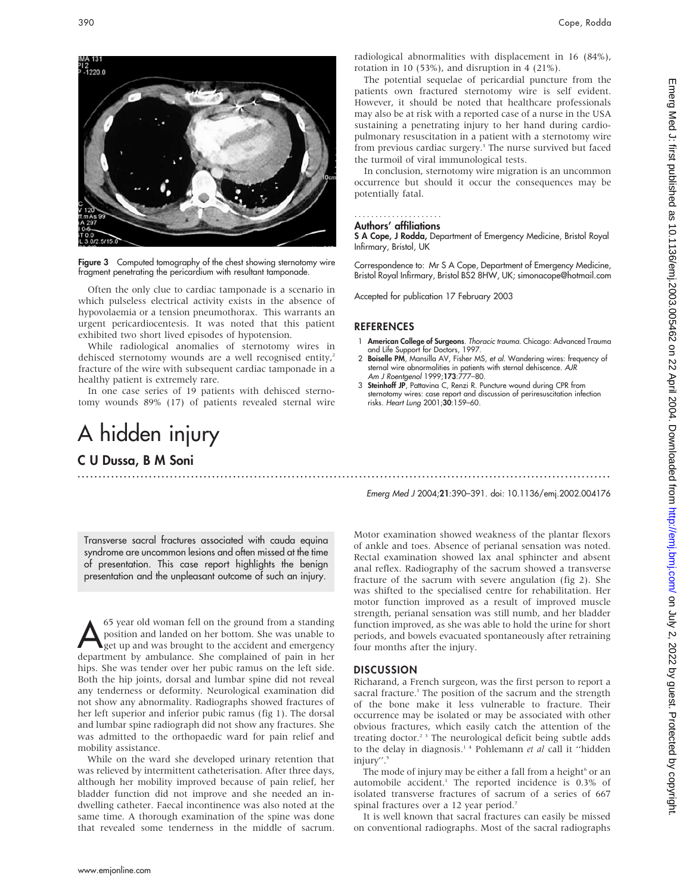

Figure 3 Computed tomography of the chest showing sternotomy wire fragment penetrating the pericardium with resultant tamponade.

Often the only clue to cardiac tamponade is a scenario in which pulseless electrical activity exists in the absence of hypovolaemia or a tension pneumothorax. This warrants an urgent pericardiocentesis. It was noted that this patient exhibited two short lived episodes of hypotension.

While radiological anomalies of sternotomy wires in dehisced sternotomy wounds are a well recognised entity,<sup>2</sup> fracture of the wire with subsequent cardiac tamponade in a healthy patient is extremely rare.

In one case series of 19 patients with dehisced sternotomy wounds 89% (17) of patients revealed sternal wire

# A hidden injury

C U Dussa, B M Soni

radiological abnormalities with displacement in 16 (84%), rotation in 10 (53%), and disruption in 4 (21%).

The potential sequelae of pericardial puncture from the patients own fractured sternotomy wire is self evident. However, it should be noted that healthcare professionals may also be at risk with a reported case of a nurse in the USA sustaining a penetrating injury to her hand during cardiopulmonary resuscitation in a patient with a sternotomy wire from previous cardiac surgery.3 The nurse survived but faced the turmoil of viral immunological tests.

In conclusion, sternotomy wire migration is an uncommon occurrence but should it occur the consequences may be potentially fatal.

### .....................

## Authors' affiliations

S A Cope, J Rodda, Department of Emergency Medicine, Bristol Royal Infirmary, Bristol, UK

Correspondence to: Mr S A Cope, Department of Emergency Medicine, Bristol Royal Infirmary, Bristol BS2 8HW, UK; simonacope@hotmail.com

Accepted for publication 17 February 2003

#### **REFERENCES**

- 1 American College of Surgeons. Thoracic trauma. Chicago: Advanced Trauma and Life Support for Doctors, 1997.
- 2 Boiselle PM, Mansilla AV, Fisher MS, et al. Wandering wires: frequency of sternal wire abnormalities in patients with sternal dehiscence. AJR Am J Roentgenol 1999;173:777–80.
- 3 Steinhoff JP, Pattavina C, Renzi R. Puncture wound during CPR from sternotomy wires: case report and discussion of periresuscitation infection risks. Heart Lung 2001;30:159–60.

## .............................................................................................................................. . Emerg Med J 2004;21:390–391. doi: 10.1136/emj.2002.004176

Transverse sacral fractures associated with cauda equina syndrome are uncommon lesions and often missed at the time of presentation. This case report highlights the benign presentation and the unpleasant outcome of such an injury.

65 year old woman fell on the ground from a standing<br>position and landed on her bottom. She was unable to<br>get up and was brought to the accident and emergency<br>denoting the symbology of pain in her position and landed on her bottom. She was unable to department by ambulance. She complained of pain in her hips. She was tender over her pubic ramus on the left side. Both the hip joints, dorsal and lumbar spine did not reveal any tenderness or deformity. Neurological examination did not show any abnormality. Radiographs showed fractures of her left superior and inferior pubic ramus (fig 1). The dorsal and lumbar spine radiograph did not show any fractures. She was admitted to the orthopaedic ward for pain relief and mobility assistance.

While on the ward she developed urinary retention that was relieved by intermittent catheterisation. After three days, although her mobility improved because of pain relief, her bladder function did not improve and she needed an indwelling catheter. Faecal incontinence was also noted at the same time. A thorough examination of the spine was done that revealed some tenderness in the middle of sacrum.

Motor examination showed weakness of the plantar flexors of ankle and toes. Absence of perianal sensation was noted. Rectal examination showed lax anal sphincter and absent anal reflex. Radiography of the sacrum showed a transverse fracture of the sacrum with severe angulation (fig 2). She was shifted to the specialised centre for rehabilitation. Her motor function improved as a result of improved muscle strength, perianal sensation was still numb, and her bladder function improved, as she was able to hold the urine for short periods, and bowels evacuated spontaneously after retraining four months after the injury.

### **DISCUSSION**

Richarand, a French surgeon, was the first person to report a sacral fracture.<sup>1</sup> The position of the sacrum and the strength of the bone make it less vulnerable to fracture. Their occurrence may be isolated or may be associated with other obvious fractures, which easily catch the attention of the treating doctor.2 3 The neurological deficit being subtle adds to the delay in diagnosis.<sup>14</sup> Pohlemann et al call it "hidden injury''. 5

The mode of injury may be either a fall from a height<sup>6</sup> or an automobile accident.<sup>1</sup> The reported incidence is 0.3% of isolated transverse fractures of sacrum of a series of 667 spinal fractures over a 12 year period.<sup>7</sup>

It is well known that sacral fractures can easily be missed on conventional radiographs. Most of the sacral radiographs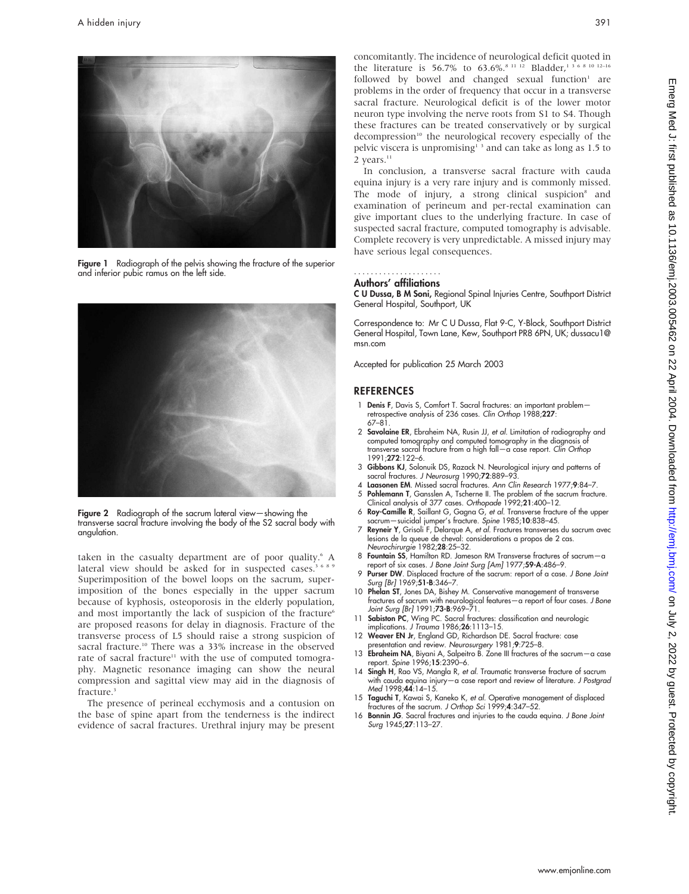

Figure 1 Radiograph of the pelvis showing the fracture of the superior and inferior pubic ramus on the left side.



Figure 2 Radiograph of the sacrum lateral view—showing the transverse sacral fracture involving the body of the S2 sacral body with angulation.

taken in the casualty department are of poor quality.<sup>6</sup> A lateral view should be asked for in suspected cases.<sup>3689</sup> Superimposition of the bowel loops on the sacrum, superimposition of the bones especially in the upper sacrum because of kyphosis, osteoporosis in the elderly population, and most importantly the lack of suspicion of the fracture<sup>6</sup> are proposed reasons for delay in diagnosis. Fracture of the transverse process of L5 should raise a strong suspicion of sacral fracture.<sup>10</sup> There was a 33% increase in the observed rate of sacral fracture<sup>11</sup> with the use of computed tomography. Magnetic resonance imaging can show the neural compression and sagittal view may aid in the diagnosis of fracture.<sup>3</sup>

The presence of perineal ecchymosis and a contusion on the base of spine apart from the tenderness is the indirect evidence of sacral fractures. Urethral injury may be present concomitantly. The incidence of neurological deficit quoted in the literature is 56.7% to 63.6%.<sup>8 11</sup> 12 Bladder,<sup>1 3 6 8 10 12-16</sup> followed by bowel and changed sexual function $1$  are problems in the order of frequency that occur in a transverse sacral fracture. Neurological deficit is of the lower motor neuron type involving the nerve roots from S1 to S4. Though these fractures can be treated conservatively or by surgical decompression<sup>10</sup> the neurological recovery especially of the pelvic viscera is unpromising<sup>13</sup> and can take as long as 1.5 to 2 years. $11$ 

In conclusion, a transverse sacral fracture with cauda equina injury is a very rare injury and is commonly missed. The mode of injury, a strong clinical suspicion $^8$  and examination of perineum and per-rectal examination can give important clues to the underlying fracture. In case of suspected sacral fracture, computed tomography is advisable. Complete recovery is very unpredictable. A missed injury may have serious legal consequences.

#### Authors' affiliations .....................

C U Dussa, B M Soni, Regional Spinal Injuries Centre, Southport District General Hospital, Southport, UK

Correspondence to: Mr C U Dussa, Flat 9-C, Y-Block, Southport District General Hospital, Town Lane, Kew, Southport PR8 6PN, UK; dussacu1@ msn.com

Accepted for publication 25 March 2003

- 1 Denis F, Davis S, Comfort T. Sacral fractures: an important problem retrospective analysis of 236 cases. Clin Orthop 1988;227 67–81.
- 2 Savolaine ER, Ebraheim NA, Rusin JJ, et al. Limitation of radiography and computed tomography and computed tomography in the diagnosis o transverse sacral fracture from a high fall—a case report. Clin Orthop 1991;272:122–6.
- 3 Gibbons KJ, Solonuik DS, Razack N. Neurological injury and patterns of sacral fractures. J Neurosurg 1990;72:889-93
- Laasonen EM. Missed sacral fractures. Ann Clin Research 1977;9:84-7.
- 5 Pohlemann T, Gansslen A, Tscherne II. The problem of the sacrum fracture. Clinical analysis of 377 cases. Orthopade 1992;21:400–12.
- 6 Roy-Camille R, Saillant G, Gagna G, et al. Transverse fracture of the upper sacrum—suicidal jumper's fracture. *Spine* 1985;**10**:838–45.<br>7 **Reyneir Y**, Grisoli F, Delarque A, *et al.* Fractures transverses du sacrum avec
- lesions de la queue de cheval: considerations a propos de 2 cas. Neurochirurgie 1982;28:25–32.
- 8 Fountain SS, Hamilton RD. Jameson RM Transverse fractures of sacrum—a report of six cases. J Bone Joint Surg [Am] 1977;59-A:486–9.
- 9 Purser DW. Displaced fracture of the sacrum: report of a case. J Bone Joint Surg [Br] 1969;51-B:346–7.
- 10 Phelan ST, Jones DA, Bishey M. Conservative management of transverse fractures of sacrum with neurological features—a report of four cases. J Bone Joint Surg [Br] 1991;73-B:969–71.
- 11 Sabiston PC, Wing PC. Sacral fractures: classification and neurologic implications. J Trauma 1986;26:1113–15.
- 12 Weaver EN Jr, England GD, Richardson DE. Sacral fracture: case presentation and review. Neurosurgery 1981;9:725–8.
- 13 Ebraheim NA, Biyani A, Salpeitro B. Zone III fractures of the sacrum—a case report. Spine 1996;15:2390–6.
- 14 Singh H, Rao VS, Mangla R, et al. Traumatic transverse fracture of sacrum with cauda equina injury—a case report and review of literature. J Postgrad Med 1998;44:14–15.
- 15 Taguchi T, Kawai S, Kaneko K, et al. Operative management of displaced fractures of the sacrum. J Orthop Sci 1999;4:347–52.
- 16 Bonnin JG. Sacral fractures and injuries to the cauda equina. J Bone Joint Surg 1945;27:113–27.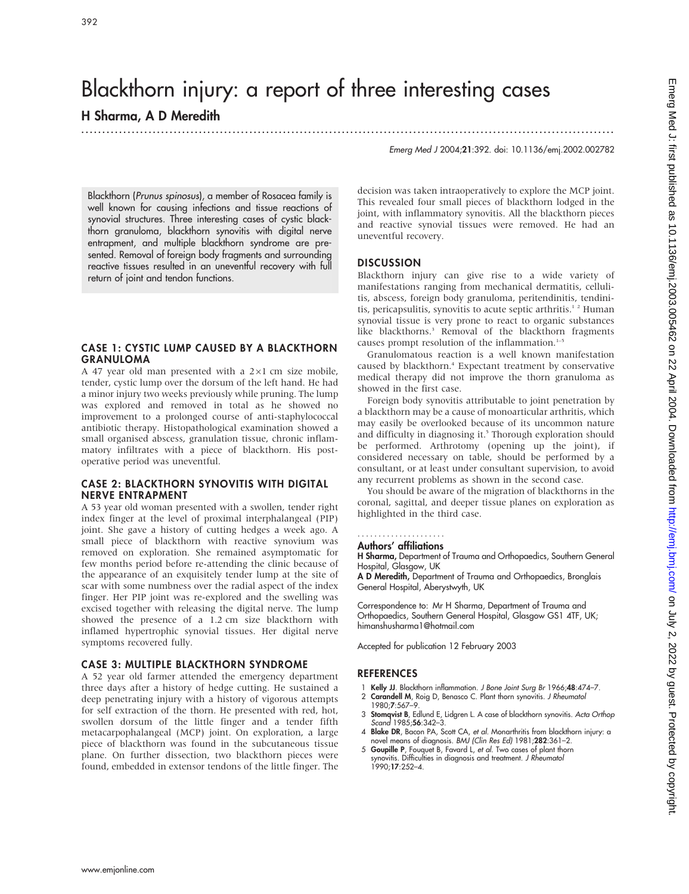# Blackthorn injury: a report of three interesting cases

### H Sharma, A D Meredith .............................................................................................................................. .

Emerg Med J 2004;21:392. doi: 10.1136/emj.2002.002782

Blackthorn (Prunus spinosus), a member of Rosacea family is well known for causing infections and tissue reactions of synovial structures. Three interesting cases of cystic blackthorn granuloma, blackthorn synovitis with digital nerve entrapment, and multiple blackthorn syndrome are presented. Removal of foreign body fragments and surrounding reactive tissues resulted in an uneventful recovery with full return of joint and tendon functions.

#### CASE 1: CYSTIC LUMP CAUSED BY A BLACKTHORN GRANULOMA

A 47 year old man presented with a  $2\times1$  cm size mobile, tender, cystic lump over the dorsum of the left hand. He had a minor injury two weeks previously while pruning. The lump was explored and removed in total as he showed no improvement to a prolonged course of anti-staphylococcal antibiotic therapy. Histopathological examination showed a small organised abscess, granulation tissue, chronic inflammatory infiltrates with a piece of blackthorn. His postoperative period was uneventful.

#### CASE 2: BLACKTHORN SYNOVITIS WITH DIGITAL NERVE ENTRAPMENT

A 53 year old woman presented with a swollen, tender right index finger at the level of proximal interphalangeal (PIP) joint. She gave a history of cutting hedges a week ago. A small piece of blackthorn with reactive synovium was removed on exploration. She remained asymptomatic for few months period before re-attending the clinic because of the appearance of an exquisitely tender lump at the site of scar with some numbness over the radial aspect of the index finger. Her PIP joint was re-explored and the swelling was excised together with releasing the digital nerve. The lump showed the presence of a 1.2 cm size blackthorn with inflamed hypertrophic synovial tissues. Her digital nerve symptoms recovered fully.

#### CASE 3: MULTIPLE BLACKTHORN SYNDROME

A 52 year old farmer attended the emergency department three days after a history of hedge cutting. He sustained a deep penetrating injury with a history of vigorous attempts for self extraction of the thorn. He presented with red, hot, swollen dorsum of the little finger and a tender fifth metacarpophalangeal (MCP) joint. On exploration, a large piece of blackthorn was found in the subcutaneous tissue plane. On further dissection, two blackthorn pieces were found, embedded in extensor tendons of the little finger. The decision was taken intraoperatively to explore the MCP joint. This revealed four small pieces of blackthorn lodged in the joint, with inflammatory synovitis. All the blackthorn pieces and reactive synovial tissues were removed. He had an uneventful recovery.

#### **DISCUSSION**

Blackthorn injury can give rise to a wide variety of manifestations ranging from mechanical dermatitis, cellulitis, abscess, foreign body granuloma, peritendinitis, tendinitis, pericapsulitis, synovitis to acute septic arthritis.<sup>12</sup> Human synovial tissue is very prone to react to organic substances like blackthorns.<sup>3</sup> Removal of the blackthorn fragments causes prompt resolution of the inflammation. $1-5$ 

Granulomatous reaction is a well known manifestation caused by blackthorn.<sup>4</sup> Expectant treatment by conservative medical therapy did not improve the thorn granuloma as showed in the first case.

Foreign body synovitis attributable to joint penetration by a blackthorn may be a cause of monoarticular arthritis, which may easily be overlooked because of its uncommon nature and difficulty in diagnosing it.<sup>5</sup> Thorough exploration should be performed. Arthrotomy (opening up the joint), if considered necessary on table, should be performed by a consultant, or at least under consultant supervision, to avoid any recurrent problems as shown in the second case.

You should be aware of the migration of blackthorns in the coronal, sagittal, and deeper tissue planes on exploration as highlighted in the third case.

#### Authors' affiliations .....................

H Sharma, Department of Trauma and Orthopaedics, Southern General Hospital, Glasgow, UK

A D Meredith, Department of Trauma and Orthopaedics, Bronglais General Hospital, Aberystwyth, UK

Correspondence to: Mr H Sharma, Department of Trauma and Orthopaedics, Southern General Hospital, Glasgow GS1 4TF, UK; himanshusharma1@hotmail.com

Accepted for publication 12 February 2003

- 1 Kelly JJ. Blackthorn inflammation. J Bone Joint Surg Br 1966;48:474-7.<br>2 Carandell M. Roja D. Benasco C. Plant thorn synovitis. J Rheumatol
- Carandell M, Roig D, Benasco C. Plant thorn synovitis. J Rheumatol 1980;7:567–9.
- 3 Stomqvist B, Edlund E, Lidgren L. A case of blackthorn synovitis. Acta Orthop Scand 1985;56:342–3.
- 4 Blake DR, Bacon PA, Scott CA, et al. Monarthritis from blackthorn injury: a novel means of diagnosis. BMJ (Clin Res Ed) 1981;282:361–2.
- 5 Goupille P, Fouquet B, Favard L, et al. Two cases of plant thorn synovitis. Difficulties in diagnosis and treatment. *J Rheumato*<br>1990;**17**:252–4.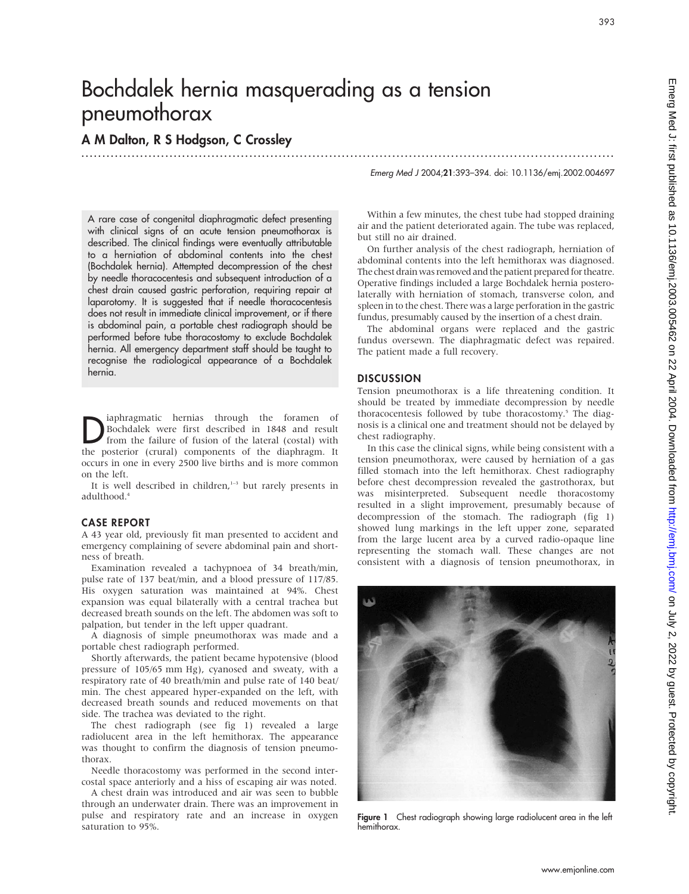393

# Bochdalek hernia masquerading as a tension pneumothorax

.............................................................................................................................. .

## A M Dalton, R S Hodgson, C Crossley

Emerg Med J 2004;21:393–394. doi: 10.1136/emj.2002.004697

A rare case of congenital diaphragmatic defect presenting with clinical signs of an acute tension pneumothorax is described. The clinical findings were eventually attributable to a herniation of abdominal contents into the chest (Bochdalek hernia). Attempted decompression of the chest by needle thoracocentesis and subsequent introduction of a chest drain caused gastric perforation, requiring repair at laparotomy. It is suggested that if needle thoracocentesis does not result in immediate clinical improvement, or if there is abdominal pain, a portable chest radiograph should be performed before tube thoracostomy to exclude Bochdalek hernia. All emergency department staff should be taught to recognise the radiological appearance of a Bochdalek hernia.

**D**iaphragmatic hernias through the foramen of Bochdalek were first described in 1848 and result from the failure of fusion of the lateral (costal) with the posterior (crural) components of the diaphram I Bochdalek were first described in 1848 and result the posterior (crural) components of the diaphragm. It occurs in one in every 2500 live births and is more common on the left.

It is well described in children, $1-3$  but rarely presents in adulthood.4

#### CASE REPORT

A 43 year old, previously fit man presented to accident and emergency complaining of severe abdominal pain and shortness of breath.

Examination revealed a tachypnoea of 34 breath/min, pulse rate of 137 beat/min, and a blood pressure of 117/85. His oxygen saturation was maintained at 94%. Chest expansion was equal bilaterally with a central trachea but decreased breath sounds on the left. The abdomen was soft to palpation, but tender in the left upper quadrant.

A diagnosis of simple pneumothorax was made and a portable chest radiograph performed.

Shortly afterwards, the patient became hypotensive (blood pressure of 105/65 mm Hg), cyanosed and sweaty, with a respiratory rate of 40 breath/min and pulse rate of 140 beat/ min. The chest appeared hyper-expanded on the left, with decreased breath sounds and reduced movements on that side. The trachea was deviated to the right.

The chest radiograph (see fig 1) revealed a large radiolucent area in the left hemithorax. The appearance was thought to confirm the diagnosis of tension pneumothorax.

Needle thoracostomy was performed in the second intercostal space anteriorly and a hiss of escaping air was noted.

A chest drain was introduced and air was seen to bubble through an underwater drain. There was an improvement in pulse and respiratory rate and an increase in oxygen saturation to 95%.

Within a few minutes, the chest tube had stopped draining air and the patient deteriorated again. The tube was replaced, but still no air drained.

On further analysis of the chest radiograph, herniation of abdominal contents into the left hemithorax was diagnosed. The chest drain was removed and the patient prepared for theatre. Operative findings included a large Bochdalek hernia posterolaterally with herniation of stomach, transverse colon, and spleen in to the chest. There was a large perforation in the gastric fundus, presumably caused by the insertion of a chest drain.

The abdominal organs were replaced and the gastric fundus oversewn. The diaphragmatic defect was repaired. The patient made a full recovery.

### **DISCUSSION**

Tension pneumothorax is a life threatening condition. It should be treated by immediate decompression by needle thoracocentesis followed by tube thoracostomy.<sup>5</sup> The diagnosis is a clinical one and treatment should not be delayed by chest radiography.

In this case the clinical signs, while being consistent with a tension pneumothorax, were caused by herniation of a gas filled stomach into the left hemithorax. Chest radiography before chest decompression revealed the gastrothorax, but was misinterpreted. Subsequent needle thoracostomy resulted in a slight improvement, presumably because of decompression of the stomach. The radiograph (fig 1) showed lung markings in the left upper zone, separated from the large lucent area by a curved radio-opaque line representing the stomach wall. These changes are not consistent with a diagnosis of tension pneumothorax, in



Figure 1 Chest radiograph showing large radiolucent area in the left hemithorax.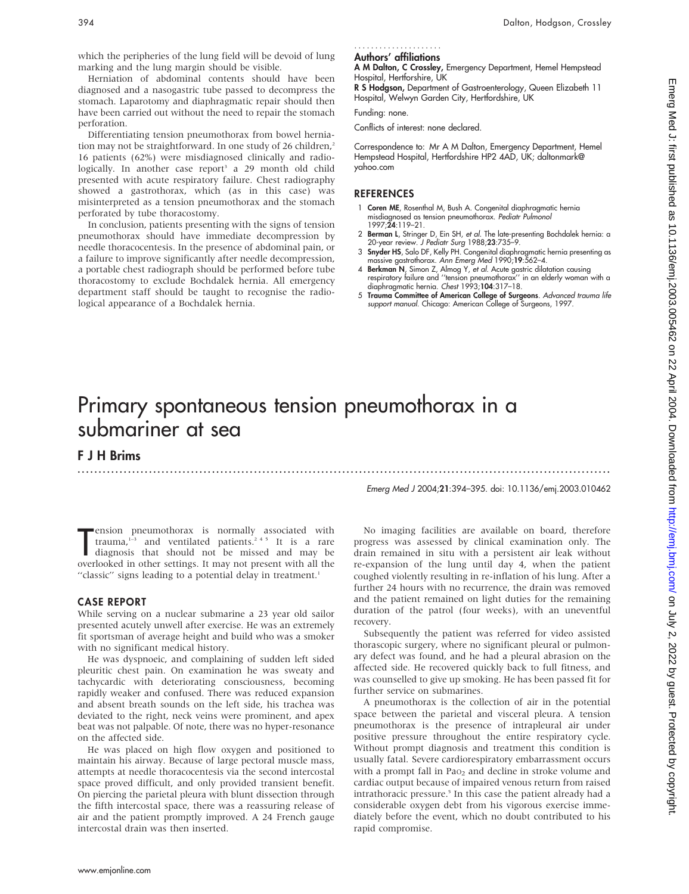which the peripheries of the lung field will be devoid of lung marking and the lung margin should be visible.

Herniation of abdominal contents should have been diagnosed and a nasogastric tube passed to decompress the stomach. Laparotomy and diaphragmatic repair should then have been carried out without the need to repair the stomach perforation.

Differentiating tension pneumothorax from bowel herniation may not be straightforward. In one study of 26 children,<sup>2</sup> 16 patients (62%) were misdiagnosed clinically and radiologically. In another case report<sup>3</sup> a 29 month old child presented with acute respiratory failure. Chest radiography showed a gastrothorax, which (as in this case) was misinterpreted as a tension pneumothorax and the stomach perforated by tube thoracostomy.

In conclusion, patients presenting with the signs of tension pneumothorax should have immediate decompression by needle thoracocentesis. In the presence of abdominal pain, or a failure to improve significantly after needle decompression, a portable chest radiograph should be performed before tube thoracostomy to exclude Bochdalek hernia. All emergency department staff should be taught to recognise the radiological appearance of a Bochdalek hernia.

#### Authors' affiliations .....................

A M Dalton, C Crossley, Emergency Department, Hemel Hempstead Hospital, Hertforshire, UK

R S Hodgson, Department of Gastroenterology, Queen Elizabeth 11 Hospital, Welwyn Garden City, Hertfordshire, UK

Funding: none.

Conflicts of interest: none declared.

Correspondence to: Mr A M Dalton, Emergency Department, Hemel Hempstead Hospital, Hertfordshire HP2 4AD, UK; daltonmark@ yahoo.com

#### **REFERENCES**

- 1 Coren ME, Rosenthal M, Bush A. Congenital diaphragmatic hernia misdiagnosed as tension pneumothorax. Pediatr Pulmonol 1997;24:119–21.
- 2 Berman L, Stringer D, Ein SH, et al. The late-presenting Bochdalek hernia: a
- 20-year review. *J Pediatr Surg* 1988;**23**:735–9.<br>3 **Snyder HS**, Salo DF, Kelly PH. Congenital diaphragmatic hernia presenting as<br>massive gastrothorax. *Ann Emerg Med* 1990;**19**:562–4.
- 4 Berkman N, Simon Z, Almog Y, et al. Acute gastric dilatation causing respiratory tailure and ''tension pneumothorax'' in an elderly woman with c<br>diaphragmatic hernia. *Chest* 1993;**104**:317–18.
- 5 Trauma Committee of American College of Surgeons. Advanced trauma life support manual. Chicago: American College of Surgeons, 1997.

# Primary spontaneous tension pneumothorax in a submariner at sea

### F J H Brims

.............................................................................................................................. .

The ension pneumothorax is normally associated with<br>trauma,<sup>1-3</sup> and ventilated patients.<sup>245</sup> It is a rare<br>diagnosis that should not be missed and may be<br>overlooked in other settings. It may not present with all the ension pneumothorax is normally associated with trauma, $1-3$  and ventilated patients.<sup>245</sup> It is a rare diagnosis that should not be missed and may be "classic" signs leading to a potential delay in treatment. $1$ 

#### CASE REPORT

While serving on a nuclear submarine a 23 year old sailor presented acutely unwell after exercise. He was an extremely fit sportsman of average height and build who was a smoker with no significant medical history.

He was dyspnoeic, and complaining of sudden left sided pleuritic chest pain. On examination he was sweaty and tachycardic with deteriorating consciousness, becoming rapidly weaker and confused. There was reduced expansion and absent breath sounds on the left side, his trachea was deviated to the right, neck veins were prominent, and apex beat was not palpable. Of note, there was no hyper-resonance on the affected side.

He was placed on high flow oxygen and positioned to maintain his airway. Because of large pectoral muscle mass, attempts at needle thoracocentesis via the second intercostal space proved difficult, and only provided transient benefit. On piercing the parietal pleura with blunt dissection through the fifth intercostal space, there was a reassuring release of air and the patient promptly improved. A 24 French gauge intercostal drain was then inserted.

Emerg Med J 2004;21:394–395. doi: 10.1136/emj.2003.010462

No imaging facilities are available on board, therefore progress was assessed by clinical examination only. The drain remained in situ with a persistent air leak without re-expansion of the lung until day 4, when the patient coughed violently resulting in re-inflation of his lung. After a further 24 hours with no recurrence, the drain was removed and the patient remained on light duties for the remaining duration of the patrol (four weeks), with an uneventful recovery.

Subsequently the patient was referred for video assisted thorascopic surgery, where no significant pleural or pulmonary defect was found, and he had a pleural abrasion on the affected side. He recovered quickly back to full fitness, and was counselled to give up smoking. He has been passed fit for further service on submarines.

A pneumothorax is the collection of air in the potential space between the parietal and visceral pleura. A tension pneumothorax is the presence of intrapleural air under positive pressure throughout the entire respiratory cycle. Without prompt diagnosis and treatment this condition is usually fatal. Severe cardiorespiratory embarrassment occurs with a prompt fall in Pao<sub>2</sub> and decline in stroke volume and cardiac output because of impaired venous return from raised intrathoracic pressure.<sup>5</sup> In this case the patient already had a considerable oxygen debt from his vigorous exercise immediately before the event, which no doubt contributed to his rapid compromise.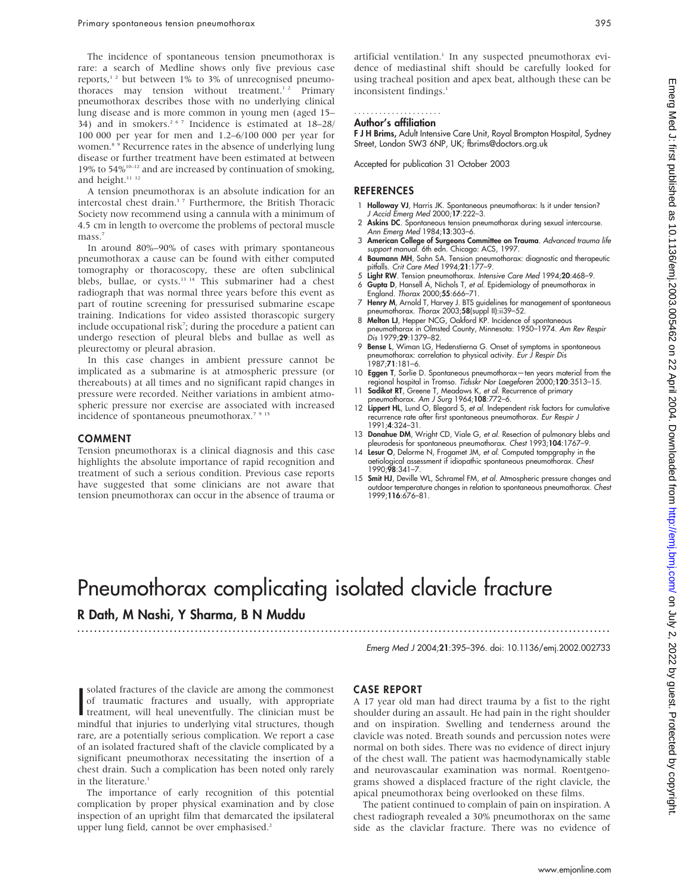The incidence of spontaneous tension pneumothorax is rare: a search of Medline shows only five previous case reports, $12$  but between 1% to 3% of unrecognised pneumothoraces may tension without treatment.<sup>12</sup> Primary pneumothorax describes those with no underlying clinical lung disease and is more common in young men (aged 15– 34) and in smokers.<sup>267</sup> Incidence is estimated at  $18-28$ / 100 000 per year for men and 1.2–6/100 000 per year for women.<sup>8</sup> <sup>9</sup> Recurrence rates in the absence of underlying lung disease or further treatment have been estimated at between 19% to 54%10–12 and are increased by continuation of smoking, and height.<sup>11</sup> <sup>12</sup>

A tension pneumothorax is an absolute indication for an intercostal chest drain.<sup>37</sup> Furthermore, the British Thoracic Society now recommend using a cannula with a minimum of 4.5 cm in length to overcome the problems of pectoral muscle mass<sup>7</sup>

In around 80%–90% of cases with primary spontaneous pneumothorax a cause can be found with either computed tomography or thoracoscopy, these are often subclinical blebs, bullae, or cysts.<sup>13 14</sup> This submariner had a chest radiograph that was normal three years before this event as part of routine screening for pressurised submarine escape training. Indications for video assisted thorascopic surgery include occupational risk<sup>7</sup>; during the procedure a patient can undergo resection of pleural blebs and bullae as well as pleurectomy or pleural abrasion.

In this case changes in ambient pressure cannot be implicated as a submarine is at atmospheric pressure (or thereabouts) at all times and no significant rapid changes in pressure were recorded. Neither variations in ambient atmospheric pressure nor exercise are associated with increased incidence of spontaneous pneumothorax.7 9 15

#### COMMENT

Tension pneumothorax is a clinical diagnosis and this case highlights the absolute importance of rapid recognition and treatment of such a serious condition. Previous case reports have suggested that some clinicians are not aware that tension pneumothorax can occur in the absence of trauma or artificial ventilation.<sup>1</sup> In any suspected pneumothorax evidence of mediastinal shift should be carefully looked for using tracheal position and apex beat, although these can be inconsistent findings.<sup>1</sup>

### .....................

Author's affiliation

F J H Brims, Adult Intensive Care Unit, Royal Brompton Hospital, Sydney Street, London SW3 6NP, UK; fbrims@doctors.org.uk

Accepted for publication 31 October 2003

#### **REFERENCES**

- 1 Holloway VJ, Harris JK. Spontaneous pneumothorax: Is it under tension? J Accid Emerg Med 2000;17:222–3.
- 2 Askins DC. Spontaneous tension pneumothorax during sexual intercourse. Ann Emerg Med 1984;13:303–6.
- 3 American College of Surgeons Committee on Trauma. Advanced trauma life support manual. 6th edn. Chicago: ACS, 1997.
- 4 Baumann MH, Sahn SA. Tension pneumothorax: diagnostic and therapeutic pitfalls. Crit Care Med 1994;21:177–9.
- 5 Light RW. Tension pneumothorax. Intensive Care Med 1994;20:468-9. 6 Gupta D, Hansell A, Nichols T, et al. Epidemiology of pneumothorax in
- England. Thorax 2000;55:666–71. 7 Henry M, Arnold T, Harvey J. BTS guidelines for management of spontaneous
- pneumothorax. *Thorax* 2003;**58**(suppl II):ii39–52.<br>8 Melton LJ, Hepper NCG, Oakford KP. Incidence of spontaneous pneumothorax in Olmsted County, Minnesota: 1950–1974. Am Rev Respir Dis 1979;29:1379–82.
- 9 Bense L, Wiman LG, Hedenstierna G. Onset of symptoms in spontaneous pneumothorax: correlation to physical activity. Eur J Respir Dis 1987;71:181–6.
- 10 Eggen T, Sorlie D. Spontaneous pneumothorax—ten years material from the regional hospital in Tromso. Tidsskr Nor Laegeforen 2000;120:3513-15.
- 11 **Sadikot RT**, Greene T, Meadows K, et al. Recurrence of primary pneumothorax. Am J Surg 1964;108:772–6.
- 12 Lippert HL, Lund O, Blegard S, et al. Independent risk factors for cumulative recurrence rate after first spontaneous pneumothorax. Eur Respir J 1991;4:324–31.
- 13 Donahue DM, Wright CD, Viale G, et al. Resection of pulmonary blebs and pleurodesis for spontaneous pneumothorax. Chest 1993;104:1767–9.
- 14 Lesur O, Delorme N, Frogamet JM, et al. Computed tompgraphy in the aetiological assessment if idiopathic spontaneous pneumothorax. Chest 1990;98:341–7.
- 15 Smit HJ, Deville WL, Schramel FM, et al. Atmospheric pressure changes and outdoor temperature changes in relation to spontaneous pneumothorax. Chest 1999;116:676–81.

# Pneumothorax complicating isolated clavicle fracture

.............................................................................................................................. .

R Dath, M Nashi, Y Sharma, B N Muddu

Emerg Med J 2004;21:395–396. doi: 10.1136/emj.2002.002733

solated fractures of the clavicle are among the commonest<br>of traumatic fractures and usually, with appropriate<br>treatment, will heal uneventfully. The clinician must be<br>mindful that injuries to underlying with structures, t solated fractures of the clavicle are among the commonest of traumatic fractures and usually, with appropriate mindful that injuries to underlying vital structures, though rare, are a potentially serious complication. We report a case of an isolated fractured shaft of the clavicle complicated by a significant pneumothorax necessitating the insertion of a chest drain. Such a complication has been noted only rarely in the literature.<sup>1</sup>

The importance of early recognition of this potential complication by proper physical examination and by close inspection of an upright film that demarcated the ipsilateral upper lung field, cannot be over emphasised.<sup>2</sup>

#### CASE REPORT

A 17 year old man had direct trauma by a fist to the right shoulder during an assault. He had pain in the right shoulder and on inspiration. Swelling and tenderness around the clavicle was noted. Breath sounds and percussion notes were normal on both sides. There was no evidence of direct injury of the chest wall. The patient was haemodynamically stable and neurovascaular examination was normal. Roentgenograms showed a displaced fracture of the right clavicle, the apical pneumothorax being overlooked on these films.

The patient continued to complain of pain on inspiration. A chest radiograph revealed a 30% pneumothorax on the same side as the claviclar fracture. There was no evidence of